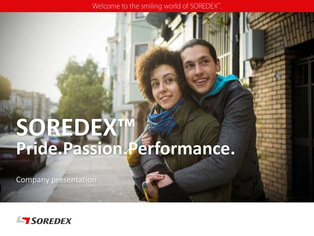Welcome to the smiling world of SOREDEX".

# **SOREDEX™ Pride.Passion.Performance.**

**Company presentation** 

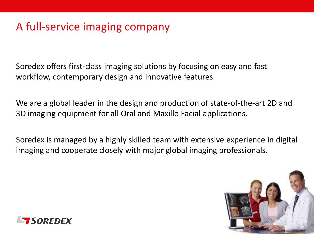### A full-service imaging company

Soredex offers first-class imaging solutions by focusing on easy and fast workflow, contemporary design and innovative features.

We are a global leader in the design and production of state-of-the-art 2D and 3D imaging equipment for all Oral and Maxillo Facial applications.

Soredex is managed by a highly skilled team with extensive experience in digital imaging and cooperate closely with major global imaging professionals.



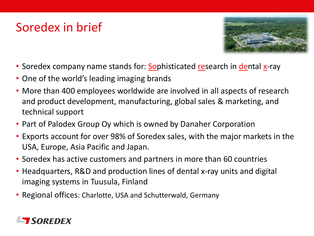## Soredex in brief



- Soredex company name stands for: Sophisticated research in dental x-ray
- One of the world's leading imaging brands
- More than 400 employees worldwide are involved in all aspects of research and product development, manufacturing, global sales & marketing, and technical support
- Part of Palodex Group Oy which is owned by Danaher Corporation
- Exports account for over 98% of Soredex sales, with the major markets in the USA, Europe, Asia Pacific and Japan.
- Soredex has active customers and partners in more than 60 countries
- Headquarters, R&D and production lines of dental x-ray units and digital imaging systems in Tuusula, Finland
- Regional offices: Charlotte, USA and Schutterwald, Germany

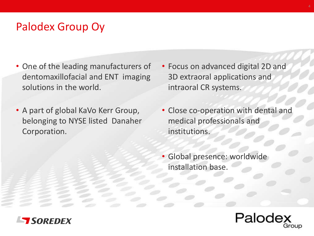### Palodex Group Oy

- One of the leading manufacturers of dentomaxillofacial and ENT imaging solutions in the world.
- A part of global KaVo Kerr Group, belonging to NYSE listed Danaher Corporation.
- Focus on advanced digital 2D and 3D extraoral applications and intraoral CR systems.
- Close co-operation with dental and medical professionals and institutions.
- Global presence: worldwide installation base.



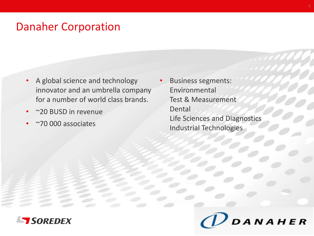#### Danaher Corporation

- A global science and technology innovator and an umbrella company for a number of world class brands.
- ~20 BUSD in revenue
- ~70 000 associates

Business segments: Environmental Test & Measurement Dental Life Sciences and Diagnostics Industrial Technologies



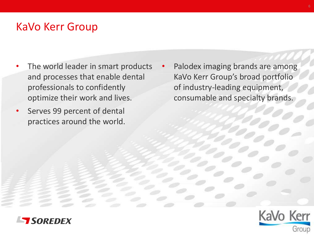#### KaVo Kerr Group

- The world leader in smart products and processes that enable dental professionals to confidently optimize their work and lives.
- Serves 99 percent of dental practices around the world.

Palodex imaging brands are among KaVo Kerr Group's broad portfolio of industry-leading equipment, consumable and specialty brands.



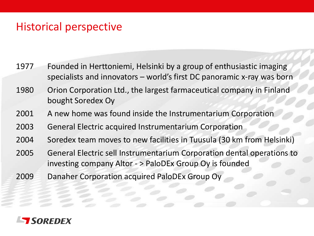### Historical perspective

- 1977 Founded in Herttoniemi, Helsinki by a group of enthusiastic imaging specialists and innovators – world's first DC panoramic x-ray was born
- 1980 Orion Corporation Ltd., the largest farmaceutical company in Finland bought Soredex Oy
- 2001 A new home was found inside the Instrumentarium Corporation
- 2003 General Electric acquired Instrumentarium Corporation
- 2004 Soredex team moves to new facilities in Tuusula (30 km from Helsinki)
- 2005 General Electric sell Instrumentarium Corporation dental operations to investing company Altor - > PaloDEx Group Oy is founded
- 2009 Danaher Corporation acquired PaloDEx Group Oy

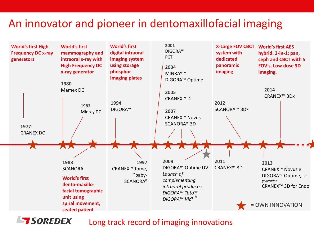#### An innovator and pioneer in dentomaxillofacial imaging



Long track record of imaging innovations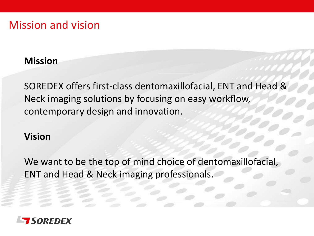#### Mission and vision

#### **Mission**

SOREDEX offers first-class dentomaxillofacial, ENT and Head & Neck imaging solutions by focusing on easy workflow, contemporary design and innovation.

#### **Vision**

We want to be the top of mind choice of dentomaxillofacial, ENT and Head & Neck imaging professionals.

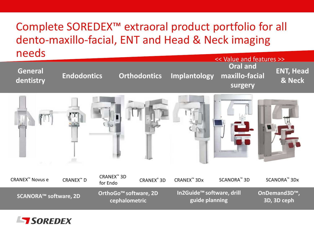### Complete SOREDEX™ extraoral product portfolio for all dento-maxillo-facial, ENT and Head & Neck imaging needs



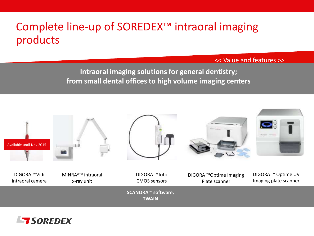### Complete line-up of SOREDEX™ intraoral imaging products

<< Value and features >>

**Intraoral imaging solutions for general dentistry; from small dental offices to high volume imaging centers**



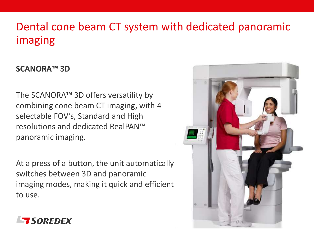### Dental cone beam CT system with dedicated panoramic imaging

#### **SCANORA™ 3D**

The SCANORA™ 3D offers versatility by combining cone beam CT imaging, with 4 selectable FOV's, Standard and High resolutions and dedicated RealPAN™ panoramic imaging.

At a press of a button, the unit automatically switches between 3D and panoramic imaging modes, making it quick and efficient to use.



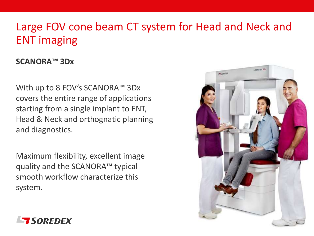### Large FOV cone beam CT system for Head and Neck and ENT imaging

#### **SCANORA™ 3Dx**

With up to 8 FOV's SCANORA™ 3Dx covers the entire range of applications starting from a single implant to ENT, Head & Neck and orthognatic planning and diagnostics.

Maximum flexibility, excellent image quality and the SCANORA™ typical smooth workflow characterize this system.



![](_page_12_Picture_5.jpeg)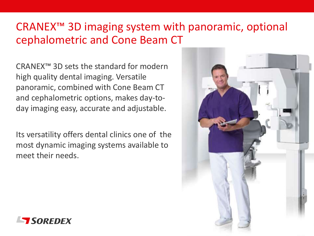### CRANEX™ 3D imaging system with panoramic, optional cephalometric and Cone Beam CT

CRANEX™ 3D sets the standard for modern high quality dental imaging. Versatile panoramic, combined with Cone Beam CT and cephalometric options, makes day-today imaging easy, accurate and adjustable.

Its versatility offers dental clinics one of the most dynamic imaging systems available to meet their needs.

![](_page_13_Picture_3.jpeg)

![](_page_13_Picture_4.jpeg)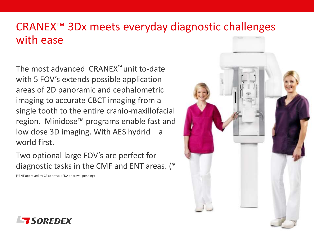### CRANEX™ 3Dx meets everyday diagnostic challenges with ease

The most advanced CRANEX™ unit to-date with 5 FOV's extends possible application areas of 2D panoramic and cephalometric imaging to accurate CBCT imaging from a single tooth to the entire cranio-maxillofacial region. Minidose™ programs enable fast and low dose 3D imaging. With AES hydrid – a world first.

Two optional large FOV's are perfect for diagnostic tasks in the CMF and ENT areas. (\*

(\*ENT approved by CE approval (FDA approval pending)

![](_page_14_Picture_4.jpeg)

![](_page_14_Picture_5.jpeg)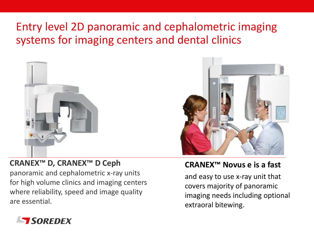### Entry level 2D panoramic and cephalometric imaging systems for imaging centers and dental clinics

![](_page_15_Picture_1.jpeg)

![](_page_15_Picture_2.jpeg)

#### **CRANEX™ D, CRANEX™ D Ceph**

panoramic and cephalometric x-ray units for high volume clinics and imaging centers where reliability, speed and image quality are essential.

#### **CRANEX™ Novus e is a fast**

and easy to use x-ray unit that covers majority of panoramic imaging needs including optional extraoral bitewing.

![](_page_15_Picture_7.jpeg)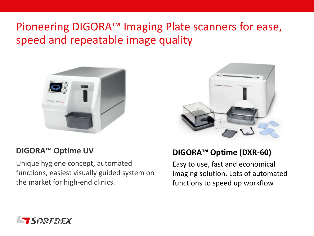### Pioneering DIGORA™ Imaging Plate scanners for ease, speed and repeatable image quality

![](_page_16_Picture_1.jpeg)

![](_page_16_Picture_2.jpeg)

#### **DIGORA™ Optime UV**

Unique hygiene concept, automated functions, easiest visually guided system on the market for high-end clinics.

#### **DIGORA™ Optime (DXR-60)**

Easy to use, fast and economical imaging solution. Lots of automated functions to speed up workflow.

![](_page_16_Picture_7.jpeg)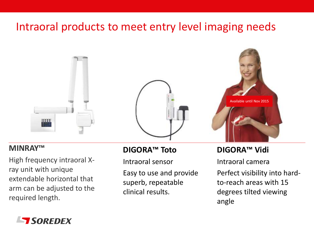### Intraoral products to meet entry level imaging needs

![](_page_17_Picture_1.jpeg)

#### **MINRAY™**

High frequency intraoral Xray unit with unique extendable horizontal that arm can be adjusted to the required length.

#### **DIGORA™ Toto**

Intraoral sensor

Easy to use and provide superb, repeatable clinical results.

#### **DIGORA™ Vidi**

Intraoral camera Perfect visibility into hardto-reach areas with 15 degrees tilted viewing angle

![](_page_17_Picture_9.jpeg)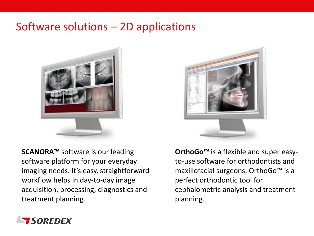#### Software solutions – 2D applications

![](_page_18_Picture_1.jpeg)

![](_page_18_Picture_2.jpeg)

**SCANORA™** software is our leading software platform for your everyday imaging needs. It's easy, straightforward workflow helps in day-to-day image acquisition, processing, diagnostics and treatment planning.

**OrthoGo™** is a flexible and super easyto-use software for orthodontists and maxillofacial surgeons. OrthoGo™ is a perfect orthodontic tool for cephalometric analysis and treatment planning.

![](_page_18_Picture_5.jpeg)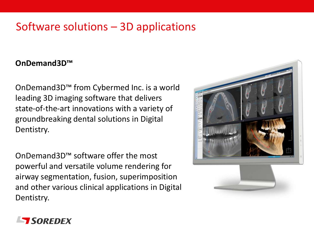### Software solutions – 3D applications

#### **OnDemand3D™**

OnDemand3D™ from Cybermed Inc. is a world leading 3D imaging software that delivers state-of-the-art innovations with a variety of groundbreaking dental solutions in Digital Dentistry.

OnDemand3D™ software offer the most powerful and versatile volume rendering for airway segmentation, fusion, superimposition and other various clinical applications in Digital Dentistry.

![](_page_19_Picture_4.jpeg)

![](_page_19_Picture_5.jpeg)

![](_page_19_Picture_6.jpeg)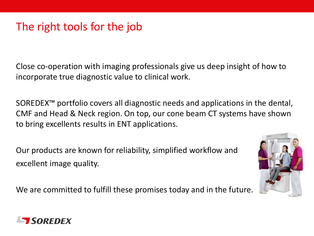### The right tools for the job

Close co-operation with imaging professionals give us deep insight of how to incorporate true diagnostic value to clinical work.

SOREDEX™ portfolio covers all diagnostic needs and applications in the dental, CMF and Head & Neck region. On top, our cone beam CT systems have shown to bring excellents results in ENT applications.

Our products are known for reliability, simplified workflow and excellent image quality.

We are committed to fulfill these promises today and in the future.

![](_page_20_Picture_5.jpeg)

![](_page_20_Picture_6.jpeg)